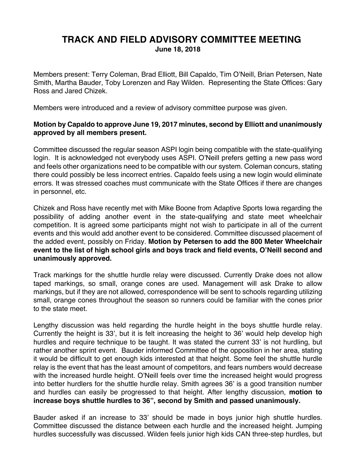## **TRACK AND FIELD ADVISORY COMMITTEE MEETING June 18, 2018**

Members present: Terry Coleman, Brad Elliott, Bill Capaldo, Tim O'Neill, Brian Petersen, Nate Smith, Martha Bauder, Toby Lorenzen and Ray Wilden. Representing the State Offices: Gary Ross and Jared Chizek.

Members were introduced and a review of advisory committee purpose was given.

## **Motion by Capaldo to approve June 19, 2017 minutes, second by Elliott and unanimously approved by all members present.**

Committee discussed the regular season ASPI login being compatible with the state-qualifying login. It is acknowledged not everybody uses ASPI. O'Neill prefers getting a new pass word and feels other organizations need to be compatible with our system. Coleman concurs, stating there could possibly be less incorrect entries. Capaldo feels using a new login would eliminate errors. It was stressed coaches must communicate with the State Offices if there are changes in personnel, etc.

Chizek and Ross have recently met with Mike Boone from Adaptive Sports Iowa regarding the possibility of adding another event in the state-qualifying and state meet wheelchair competition. It is agreed some participants might not wish to participate in all of the current events and this would add another event to be considered. Committee discussed placement of the added event, possibly on Friday. **Motion by Petersen to add the 800 Meter Wheelchair event to the list of high school girls and boys track and field events, O'Neill second and unanimously approved.**

Track markings for the shuttle hurdle relay were discussed. Currently Drake does not allow taped markings, so small, orange cones are used. Management will ask Drake to allow markings, but if they are not allowed, correspondence will be sent to schools regarding utilizing small, orange cones throughout the season so runners could be familiar with the cones prior to the state meet.

Lengthy discussion was held regarding the hurdle height in the boys shuttle hurdle relay. Currently the height is 33', but it is felt increasing the height to 36' would help develop high hurdles and require technique to be taught. It was stated the current 33' is not hurdling, but rather another sprint event. Bauder informed Committee of the opposition in her area, stating it would be difficult to get enough kids interested at that height. Some feel the shuttle hurdle relay is the event that has the least amount of competitors, and fears numbers would decrease with the increased hurdle height. O'Neill feels over time the increased height would progress into better hurdlers for the shuttle hurdle relay. Smith agrees 36' is a good transition number and hurdles can easily be progressed to that height. After lengthy discussion, **motion to increase boys shuttle hurdles to 36", second by Smith and passed unanimously.**

Bauder asked if an increase to 33' should be made in boys junior high shuttle hurdles. Committee discussed the distance between each hurdle and the increased height. Jumping hurdles successfully was discussed. Wilden feels junior high kids CAN three-step hurdles, but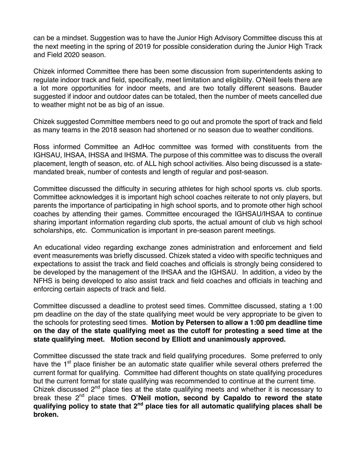can be a mindset. Suggestion was to have the Junior High Advisory Committee discuss this at the next meeting in the spring of 2019 for possible consideration during the Junior High Track and Field 2020 season.

Chizek informed Committee there has been some discussion from superintendents asking to regulate indoor track and field, specifically, meet limitation and eligibility. O'Neill feels there are a lot more opportunities for indoor meets, and are two totally different seasons. Bauder suggested if indoor and outdoor dates can be totaled, then the number of meets cancelled due to weather might not be as big of an issue.

Chizek suggested Committee members need to go out and promote the sport of track and field as many teams in the 2018 season had shortened or no season due to weather conditions.

Ross informed Committee an AdHoc committee was formed with constituents from the IGHSAU, IHSAA, IHSSA and IHSMA. The purpose of this committee was to discuss the overall placement, length of season, etc. of ALL high school activities. Also being discussed is a statemandated break, number of contests and length of regular and post-season.

Committee discussed the difficulty in securing athletes for high school sports vs. club sports. Committee acknowledges it is important high school coaches reiterate to not only players, but parents the importance of participating in high school sports, and to promote other high school coaches by attending their games. Committee encouraged the IGHSAU/IHSAA to continue sharing important information regarding club sports, the actual amount of club vs high school scholarships, etc. Communication is important in pre-season parent meetings.

An educational video regarding exchange zones administration and enforcement and field event measurements was briefly discussed. Chizek stated a video with specific techniques and expectations to assist the track and field coaches and officials is strongly being considered to be developed by the management of the IHSAA and the IGHSAU. In addition, a video by the NFHS is being developed to also assist track and field coaches and officials in teaching and enforcing certain aspects of track and field.

Committee discussed a deadline to protest seed times. Committee discussed, stating a 1:00 pm deadline on the day of the state qualifying meet would be very appropriate to be given to the schools for protesting seed times. **Motion by Petersen to allow a 1:00 pm deadline time on the day of the state qualifying meet as the cutoff for protesting a seed time at the state qualifying meet. Motion second by Elliott and unanimously approved.**

Committee discussed the state track and field qualifying procedures. Some preferred to only have the  $1<sup>st</sup>$  place finisher be an automatic state qualifier while several others preferred the current format for qualifying. Committee had different thoughts on state qualifying procedures but the current format for state qualifying was recommended to continue at the current time. Chizek discussed 2<sup>nd</sup> place ties at the state qualifying meets and whether it is necessary to break these 2nd place times. **O'Neil motion, second by Capaldo to reword the state qualifying policy to state that 2nd place ties for all automatic qualifying places shall be broken.**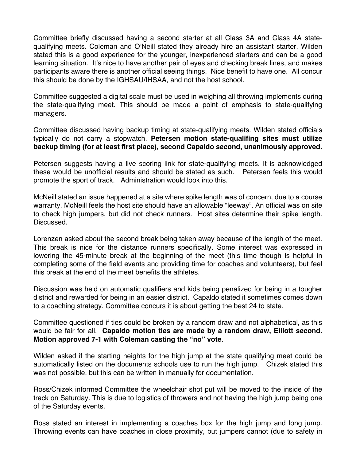Committee briefly discussed having a second starter at all Class 3A and Class 4A statequalifying meets. Coleman and O'Neill stated they already hire an assistant starter. Wilden stated this is a good experience for the younger, inexperienced starters and can be a good learning situation. It's nice to have another pair of eyes and checking break lines, and makes participants aware there is another official seeing things. Nice benefit to have one. All concur this should be done by the IGHSAU/IHSAA, and not the host school.

Committee suggested a digital scale must be used in weighing all throwing implements during the state-qualifying meet. This should be made a point of emphasis to state-qualifying managers.

Committee discussed having backup timing at state-qualifying meets. Wilden stated officials typically do not carry a stopwatch. **Petersen motion state-qualifing sites must utilize backup timing (for at least first place), second Capaldo second, unanimously approved.**

Petersen suggests having a live scoring link for state-qualifying meets. It is acknowledged these would be unofficial results and should be stated as such. Petersen feels this would promote the sport of track. Administration would look into this.

McNeill stated an issue happened at a site where spike length was of concern, due to a course warranty. McNeill feels the host site should have an allowable "leeway". An official was on site to check high jumpers, but did not check runners. Host sites determine their spike length. Discussed.

Lorenzen asked about the second break being taken away because of the length of the meet. This break is nice for the distance runners specifically. Some interest was expressed in lowering the 45-minute break at the beginning of the meet (this time though is helpful in completing some of the field events and providing time for coaches and volunteers), but feel this break at the end of the meet benefits the athletes.

Discussion was held on automatic qualifiers and kids being penalized for being in a tougher district and rewarded for being in an easier district. Capaldo stated it sometimes comes down to a coaching strategy. Committee concurs it is about getting the best 24 to state.

Committee questioned if ties could be broken by a random draw and not alphabetical, as this would be fair for all. **Capaldo motion ties are made by a random draw, Elliott second. Motion approved 7-1 with Coleman casting the "no" vote**.

Wilden asked if the starting heights for the high jump at the state qualifying meet could be automatically listed on the documents schools use to run the high jump. Chizek stated this was not possible, but this can be written in manually for documentation.

Ross/Chizek informed Committee the wheelchair shot put will be moved to the inside of the track on Saturday. This is due to logistics of throwers and not having the high jump being one of the Saturday events.

Ross stated an interest in implementing a coaches box for the high jump and long jump. Throwing events can have coaches in close proximity, but jumpers cannot (due to safety in